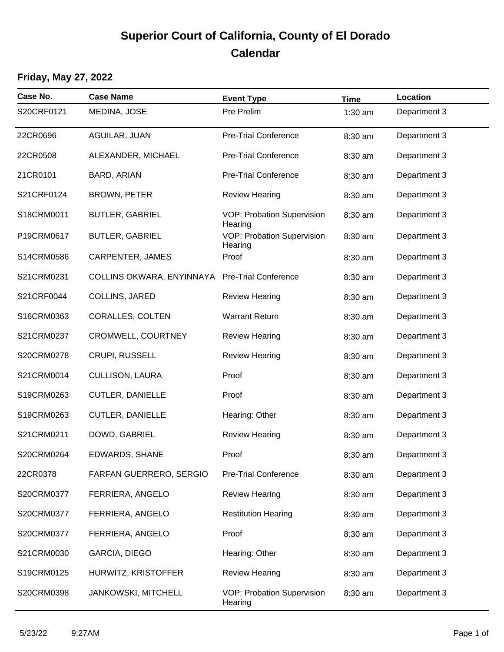# **Superior Court of California, County of El Dorado Calendar**

### **Friday, May 27, 2022**

| Case No.   | <b>Case Name</b>           | <b>Event Type</b>                            | <b>Time</b> | Location     |
|------------|----------------------------|----------------------------------------------|-------------|--------------|
| S20CRF0121 | MEDINA, JOSE               | Pre Prelim                                   | $1:30$ am   | Department 3 |
| 22CR0696   | AGUILAR, JUAN              | <b>Pre-Trial Conference</b>                  | 8:30 am     | Department 3 |
| 22CR0508   | ALEXANDER, MICHAEL         | <b>Pre-Trial Conference</b>                  | 8:30 am     | Department 3 |
| 21CR0101   | BARD, ARIAN                | <b>Pre-Trial Conference</b>                  | 8:30 am     | Department 3 |
| S21CRF0124 | <b>BROWN, PETER</b>        | <b>Review Hearing</b>                        | 8:30 am     | Department 3 |
| S18CRM0011 | <b>BUTLER, GABRIEL</b>     | VOP: Probation Supervision<br>Hearing        | 8:30 am     | Department 3 |
| P19CRM0617 | <b>BUTLER, GABRIEL</b>     | <b>VOP: Probation Supervision</b><br>Hearing | 8:30 am     | Department 3 |
| S14CRM0586 | CARPENTER, JAMES           | Proof                                        | 8:30 am     | Department 3 |
| S21CRM0231 | COLLINS OKWARA, ENYINNAYA  | <b>Pre-Trial Conference</b>                  | 8:30 am     | Department 3 |
| S21CRF0044 | COLLINS, JARED             | <b>Review Hearing</b>                        | 8:30 am     | Department 3 |
| S16CRM0363 | <b>CORALLES, COLTEN</b>    | <b>Warrant Return</b>                        | 8:30 am     | Department 3 |
| S21CRM0237 | CROMWELL, COURTNEY         | <b>Review Hearing</b>                        | 8:30 am     | Department 3 |
| S20CRM0278 | CRUPI, RUSSELL             | <b>Review Hearing</b>                        | 8:30 am     | Department 3 |
| S21CRM0014 | <b>CULLISON, LAURA</b>     | Proof                                        | 8:30 am     | Department 3 |
| S19CRM0263 | <b>CUTLER, DANIELLE</b>    | Proof                                        | 8:30 am     | Department 3 |
| S19CRM0263 | <b>CUTLER, DANIELLE</b>    | Hearing: Other                               | 8:30 am     | Department 3 |
| S21CRM0211 | DOWD, GABRIEL              | <b>Review Hearing</b>                        | 8:30 am     | Department 3 |
| S20CRM0264 | EDWARDS, SHANE             | Proof                                        | 8:30 am     | Department 3 |
| 22CR0378   | FARFAN GUERRERO, SERGIO    | <b>Pre-Trial Conference</b>                  | 8:30 am     | Department 3 |
| S20CRM0377 | FERRIERA, ANGELO           | <b>Review Hearing</b>                        | 8:30 am     | Department 3 |
| S20CRM0377 | FERRIERA, ANGELO           | <b>Restitution Hearing</b>                   | 8:30 am     | Department 3 |
| S20CRM0377 | FERRIERA, ANGELO           | Proof                                        | 8:30 am     | Department 3 |
| S21CRM0030 | GARCIA, DIEGO              | Hearing: Other                               | 8:30 am     | Department 3 |
| S19CRM0125 | HURWITZ, KRISTOFFER        | <b>Review Hearing</b>                        | 8:30 am     | Department 3 |
| S20CRM0398 | <b>JANKOWSKI, MITCHELL</b> | VOP: Probation Supervision<br>Hearing        | 8:30 am     | Department 3 |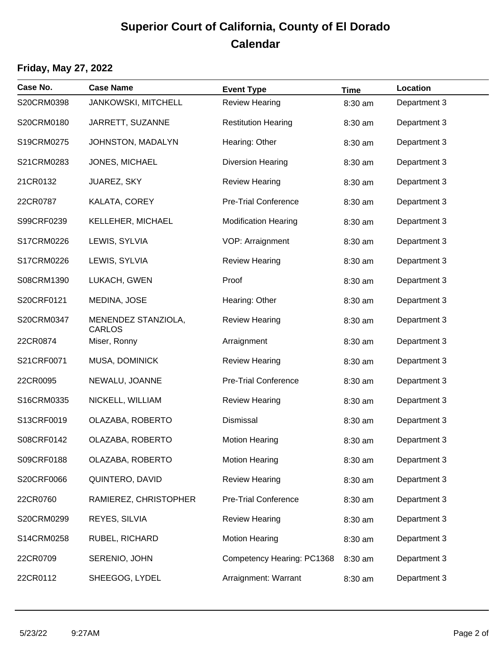## **Superior Court of California, County of El Dorado Calendar**

#### **Friday, May 27, 2022**

| Case No.   | <b>Case Name</b>                     | <b>Event Type</b>           | <b>Time</b> | Location     |
|------------|--------------------------------------|-----------------------------|-------------|--------------|
| S20CRM0398 | <b>JANKOWSKI, MITCHELL</b>           | <b>Review Hearing</b>       | 8:30 am     | Department 3 |
| S20CRM0180 | JARRETT, SUZANNE                     | <b>Restitution Hearing</b>  | 8:30 am     | Department 3 |
| S19CRM0275 | JOHNSTON, MADALYN                    | Hearing: Other              | 8:30 am     | Department 3 |
| S21CRM0283 | JONES, MICHAEL                       | <b>Diversion Hearing</b>    | 8:30 am     | Department 3 |
| 21CR0132   | JUAREZ, SKY                          | <b>Review Hearing</b>       | 8:30 am     | Department 3 |
| 22CR0787   | KALATA, COREY                        | <b>Pre-Trial Conference</b> | 8:30 am     | Department 3 |
| S99CRF0239 | KELLEHER, MICHAEL                    | <b>Modification Hearing</b> | 8:30 am     | Department 3 |
| S17CRM0226 | LEWIS, SYLVIA                        | VOP: Arraignment            | 8:30 am     | Department 3 |
| S17CRM0226 | LEWIS, SYLVIA                        | <b>Review Hearing</b>       | 8:30 am     | Department 3 |
| S08CRM1390 | LUKACH, GWEN                         | Proof                       | 8:30 am     | Department 3 |
| S20CRF0121 | MEDINA, JOSE                         | Hearing: Other              | 8:30 am     | Department 3 |
| S20CRM0347 | MENENDEZ STANZIOLA,<br><b>CARLOS</b> | <b>Review Hearing</b>       | 8:30 am     | Department 3 |
| 22CR0874   | Miser, Ronny                         | Arraignment                 | 8:30 am     | Department 3 |
| S21CRF0071 | MUSA, DOMINICK                       | <b>Review Hearing</b>       | 8:30 am     | Department 3 |
| 22CR0095   | NEWALU, JOANNE                       | <b>Pre-Trial Conference</b> | 8:30 am     | Department 3 |
| S16CRM0335 | NICKELL, WILLIAM                     | <b>Review Hearing</b>       | 8:30 am     | Department 3 |
| S13CRF0019 | OLAZABA, ROBERTO                     | Dismissal                   | 8:30 am     | Department 3 |
| S08CRF0142 | OLAZABA, ROBERTO                     | <b>Motion Hearing</b>       | 8:30 am     | Department 3 |
| S09CRF0188 | OLAZABA, ROBERTO                     | <b>Motion Hearing</b>       | 8:30 am     | Department 3 |
| S20CRF0066 | QUINTERO, DAVID                      | <b>Review Hearing</b>       | 8:30 am     | Department 3 |
| 22CR0760   | RAMIEREZ, CHRISTOPHER                | <b>Pre-Trial Conference</b> | 8:30 am     | Department 3 |
| S20CRM0299 | REYES, SILVIA                        | <b>Review Hearing</b>       | 8:30 am     | Department 3 |
| S14CRM0258 | RUBEL, RICHARD                       | <b>Motion Hearing</b>       | 8:30 am     | Department 3 |
| 22CR0709   | SERENIO, JOHN                        | Competency Hearing: PC1368  | 8:30 am     | Department 3 |
| 22CR0112   | SHEEGOG, LYDEL                       | Arraignment: Warrant        | 8:30 am     | Department 3 |